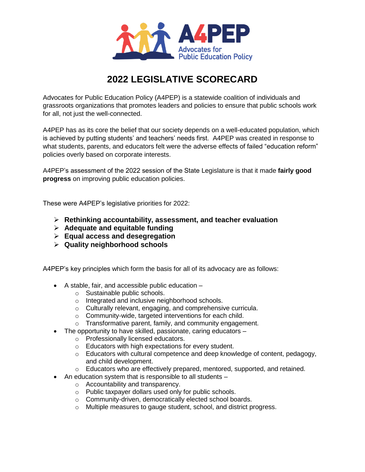

# **2022 LEGISLATIVE SCORECARD**

Advocates for Public Education Policy (A4PEP) is a statewide coalition of individuals and grassroots organizations that promotes leaders and policies to ensure that public schools work for all, not just the well-connected.

A4PEP has as its core the belief that our society depends on a well-educated population, which is achieved by putting students' and teachers' needs first. A4PEP was created in response to what students, parents, and educators felt were the adverse effects of failed "education reform" policies overly based on corporate interests.

A4PEP's assessment of the 2022 session of the State Legislature is that it made **fairly good progress** on improving public education policies.

These were A4PEP's legislative priorities for 2022:

- **Rethinking accountability, assessment, and teacher evaluation**
- **Adequate and equitable funding**
- **Equal access and desegregation**
- **Quality neighborhood schools**

A4PEP's key principles which form the basis for all of its advocacy are as follows:

- $\bullet$  A stable, fair, and accessible public education  $$ 
	- o Sustainable public schools.
	- o Integrated and inclusive neighborhood schools.
	- o Culturally relevant, engaging, and comprehensive curricula.
	- o Community-wide, targeted interventions for each child.
	- o Transformative parent, family, and community engagement.
- The opportunity to have skilled, passionate, caring educators
	- o Professionally licensed educators.
	- o Educators with high expectations for every student.
	- o Educators with cultural competence and deep knowledge of content, pedagogy, and child development.
	- o Educators who are effectively prepared, mentored, supported, and retained.
- An education system that is responsible to all students
	- o Accountability and transparency.
	- o Public taxpayer dollars used only for public schools.
	- o Community-driven, democratically elected school boards.
	- o Multiple measures to gauge student, school, and district progress.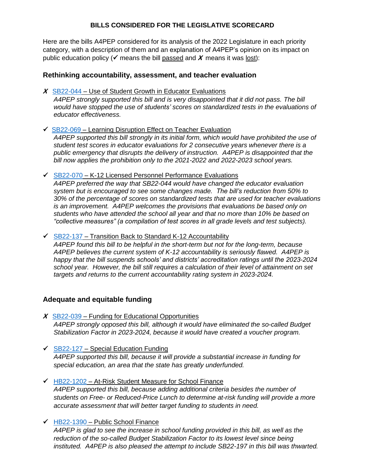# **BILLS CONSIDERED FOR THE LEGISLATIVE SCORECARD**

Here are the bills A4PEP considered for its analysis of the 2022 Legislature in each priority category, with a description of them and an explanation of A4PEP's opinion on its impact on public education policy ( $\checkmark$  means the bill passed and  $\hat{x}$  means it was lost):

# **Rethinking accountability, assessment, and teacher evaluation**

**X** [SB22-044](http://leg.colorado.gov/bills/sb22-044) – Use of Student Growth in Educator Evaluations

*A4PEP strongly supported this bill and is very disappointed that it did not pass. The bill would have stopped the use of students' scores on standardized tests in the evaluations of educator effectiveness.*

 $\overline{\smash{\big)}\,}$  [SB22-069](http://leg.colorado.gov/bills/sb22-069) – Learning Disruption Effect on Teacher Evaluation

*A4PEP supported this bill strongly in its initial form, which would have prohibited the use of student test scores in educator evaluations for 2 consecutive years whenever there is a public emergency that disrupts the delivery of instruction. A4PEP is disappointed that the bill now applies the prohibition only to the 2021-2022 and 2022-2023 school years.*

 $\checkmark$  [SB22-070](http://leg.colorado.gov/bills/sb22-070) – K-12 Licensed Personnel Performance Evaluations

*A4PEP preferred the way that SB22-044 would have changed the educator evaluation system but is encouraged to see some changes made. The bill's reduction from 50% to 30% of the percentage of scores on standardized tests that are used for teacher evaluations is an improvement. A4PEP welcomes the provisions that evaluations be based only on students who have attended the school all year and that no more than 10% be based on "collective measures" (a compilation of test scores in all grade levels and test subjects).*

 $\checkmark$  [SB22-137](http://leg.colorado.gov/bills/sb22-137) – Transition Back to Standard K-12 Accountability

*A4PEP found this bill to be helpful in the short-term but not for the long-term, because A4PEP believes the current system of K-12 accountability is seriously flawed. A4PEP is happy that the bill suspends schools' and districts' accreditation ratings until the 2023-2024 school year. However, the bill still requires a calculation of their level of attainment on set targets and returns to the current accountability rating system in 2023-2024.*

# **Adequate and equitable funding**

- **X** [SB22-039](http://leg.colorado.gov/bills/sb22-039) Funding for Educational Opportunities *A4PEP strongly opposed this bill, although it would have eliminated the so-called Budget Stabilization Factor in 2023-2024, because it would have created a voucher program.*
- $\checkmark$  [SB22-127](http://leg.colorado.gov/bills/sb22-127) Special Education Funding *A4PEP supported this bill, because it will provide a substantial increase in funding for special education, an area that the state has greatly underfunded.*
- $\overline{\phantom{a}}$  [HB22-1202](http://leg.colorado.gov/bills/hb22-1202) At-Risk Student Measure for School Finance *A4PEP supported this bill, because adding additional criteria besides the number of students on Free- or Reduced-Price Lunch to determine at-risk funding will provide a more accurate assessment that will better target funding to students in need.*
- $\checkmark$  [HB22-1390](http://leg.colorado.gov/bills/hb22-1390) Public School Finance

*A4PEP is glad to see the increase in school funding provided in this bill, as well as the reduction of the so-called Budget Stabilization Factor to its lowest level since being instituted. A4PEP is also pleased the attempt to include SB22-197 in this bill was thwarted.*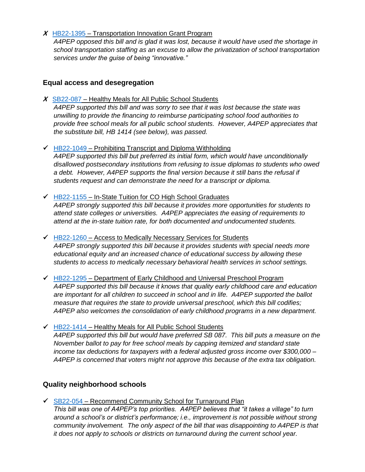#### **X** [HB22-1395](http://leg.colorado.gov/bills/hb22-1395) – Transportation Innovation Grant Program

*A4PEP opposed this bill and is glad it was lost, because it would have used the shortage in school transportation staffing as an excuse to allow the privatization of school transportation services under the guise of being "innovative."*

# **Equal access and desegregation**

**X** [SB22-087](http://leg.colorado.gov/bills/sb22-087) – Healthy Meals for All Public School Students

*A4PEP supported this bill and was sorry to see that it was lost because the state was unwilling to provide the financing to reimburse participating school food authorities to provide free school meals for all public school students. However, A4PEP appreciates that the substitute bill, HB 1414 (see below), was passed.*

- $\overline{V}$  [HB22-1049](http://leg.colorado.gov/bills/hb22-1049) Prohibiting Transcript and Diploma Withholding *A4PEP supported this bill but preferred its initial form, which would have unconditionally disallowed postsecondary institutions from refusing to issue diplomas to students who owed a debt. However, A4PEP supports the final version because it still bans the refusal if students request and can demonstrate the need for a transcript or diploma.*
- $\overline{\smash{\leftarrow}}$  [HB22-1155](http://leg.colorado.gov/bills/hb22-1155) In-State Tuition for CO High School Graduates

*A4PEP strongly supported this bill because it provides more opportunities for students to attend state colleges or universities. A4PEP appreciates the easing of requirements to attend at the in-state tuition rate, for both documented and undocumented students.*

- $\overline{\phantom{a}}$  [HB22-1260](http://leg.colorado.gov/bills/hb22-1260) Access to Medically Necessary Services for Students *A4PEP strongly supported this bill because it provides students with special needs more educational equity and an increased chance of educational success by allowing these students to access to medically necessary behavioral health services in school settings.*
- $\overline{V}$  [HB22-1295](http://leg.colorado.gov/bills/hb22-1295) Department of Early Childhood and Universal Preschool Program *A4PEP supported this bill because it knows that quality early childhood care and education are important for all children to succeed in school and in life. A4PEP supported the ballot measure that requires the state to provide universal preschool, which this bill codifies; A4PEP also welcomes the consolidation of early childhood programs in a new department.*
- $\overline{\phantom{a}}$  [HB22-1414](http://leg.colorado.gov/bills/hb22-1414) Healthy Meals for All Public School Students *A4PEP supported this bill but would have preferred SB 087. This bill puts a measure on the November ballot to pay for free school meals by capping itemized and standard state income tax deductions for taxpayers with a federal adjusted gross income over \$300,000 – A4PEP is concerned that voters might not approve this because of the extra tax obligation.*

# **Quality neighborhood schools**

 $\overline{\smash{\bigtriangledown}}$  [SB22-054](http://leg.colorado.gov/bills/sb22-054) – Recommend Community School for Turnaround Plan *This bill was one of A4PEP's top priorities. A4PEP believes that "it takes a village" to turn around a school's or district's performance; i.e., improvement is not possible without strong community involvement. The only aspect of the bill that was disappointing to A4PEP is that it does not apply to schools or districts on turnaround during the current school year.*